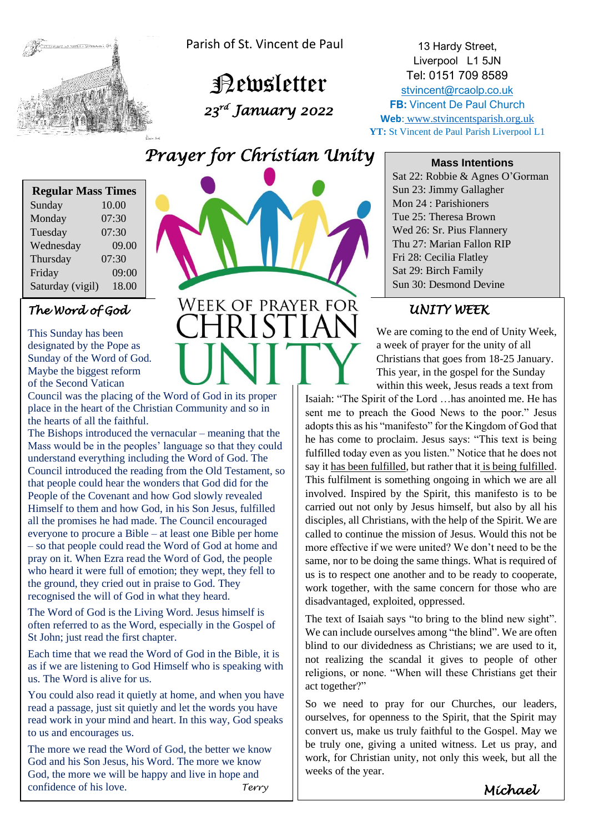

Parish of St. Vincent de Paul

 Newsletter  *23rd January 2022* 

13 Hardy Street, Liverpool L1 5JN Tel: 0151 709 8589 [stvincent@rcaolp.co.uk](mailto:stvincent@rcaolp.co.uk) **FB: Vincent De Paul Church Web**: www.stvincentsparish.org.uk **YT:** St Vincent de Paul Parish Liverpool L1

# *Prayer for Christian Unity*

**WEEK OF PRAYER FOR** 

| <b>Regular Mass Times</b> |       |
|---------------------------|-------|
| Sunday                    | 10.00 |
| Monday                    | 07:30 |
| Tuesday                   | 07:30 |
| Wednesday                 | 09.00 |
| Thursday                  | 07:30 |
| Friday                    | 09:00 |
| Saturday (vigil)          | 18.00 |

### *The Word of God*

This Sunday has been designated by the Pope as Sunday of the Word of God. Maybe the biggest reform of the Second Vatican

Council was the placing of the Word of God in its proper place in the heart of the Christian Community and so in the hearts of all the faithful.

The Bishops introduced the vernacular – meaning that the Mass would be in the peoples' language so that they could understand everything including the Word of God. The Council introduced the reading from the Old Testament, so that people could hear the wonders that God did for the People of the Covenant and how God slowly revealed Himself to them and how God, in his Son Jesus, fulfilled all the promises he had made. The Council encouraged everyone to procure a Bible – at least one Bible per home – so that people could read the Word of God at home and pray on it. When Ezra read the Word of God, the people who heard it were full of emotion; they wept, they fell to the ground, they cried out in praise to God. They recognised the will of God in what they heard.

The Word of God is the Living Word. Jesus himself is often referred to as the Word, especially in the Gospel of St John; just read the first chapter.

Each time that we read the Word of God in the Bible, it is as if we are listening to God Himself who is speaking with us. The Word is alive for us.

You could also read it quietly at home, and when you have read a passage, just sit quietly and let the words you have read work in your mind and heart. In this way, God speaks to us and encourages us.

The more we read the Word of God, the better we know God and his Son Jesus, his Word. The more we know God, the more we will be happy and live in hope and confidence of his love. *Terry*

#### **Mass Intentions**

Sat 22: Robbie & Agnes O'Gorman Sun 23: Jimmy Gallagher Mon 24 : Parishioners Tue 25: Theresa Brown Wed 26: Sr. Pius Flannery Thu 27: Marian Fallon RIP Fri 28: Cecilia Flatley Sat 29: Birch Family Sun 30: Desmond Devine

## *UNITY WEEK*

We are coming to the end of Unity Week, a week of prayer for the unity of all Christians that goes from 18-25 January. This year, in the gospel for the Sunday within this week, Jesus reads a text from

Isaiah: "The Spirit of the Lord …has anointed me. He has sent me to preach the Good News to the poor." Jesus adopts this as his "manifesto" for the Kingdom of God that he has come to proclaim. Jesus says: "This text is being fulfilled today even as you listen." Notice that he does not say it has been fulfilled, but rather that it is being fulfilled. This fulfilment is something ongoing in which we are all involved. Inspired by the Spirit, this manifesto is to be carried out not only by Jesus himself, but also by all his disciples, all Christians, with the help of the Spirit. We are called to continue the mission of Jesus. Would this not be more effective if we were united? We don't need to be the same, nor to be doing the same things. What is required of us is to respect one another and to be ready to cooperate, work together, with the same concern for those who are disadvantaged, exploited, oppressed.

The text of Isaiah says "to bring to the blind new sight". We can include ourselves among "the blind". We are often blind to our dividedness as Christians; we are used to it, not realizing the scandal it gives to people of other religions, or none. "When will these Christians get their act together?"

So we need to pray for our Churches, our leaders, ourselves, for openness to the Spirit, that the Spirit may convert us, make us truly faithful to the Gospel. May we be truly one, giving a united witness. Let us pray, and work, for Christian unity, not only this week, but all the weeks of the year.